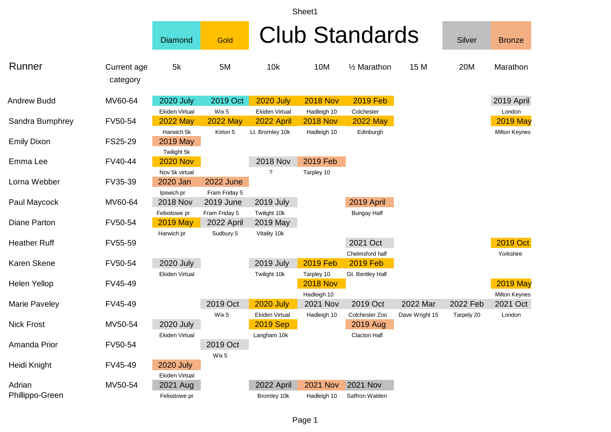| sheet |
|-------|
|-------|

|                           |                         | <b>Diamond</b>                            | Gold                              |                                           |                                | <b>Club Standards</b>               |                            | Silver                 | <b>Bronze</b>                    |
|---------------------------|-------------------------|-------------------------------------------|-----------------------------------|-------------------------------------------|--------------------------------|-------------------------------------|----------------------------|------------------------|----------------------------------|
| Runner                    | Current age<br>category | 5k                                        | 5M                                | 10k                                       | 10M                            | 1/ <sub>2</sub> Marathon            | 15 M                       | 20M                    | Marathon                         |
| <b>Andrew Budd</b>        | MV60-64                 | <b>2020 July</b><br>Ekiden Virtual        | 2019 Oct<br>Wix 5                 | <b>2020 July</b><br>Ekiden Virtual        | <b>2018 Nov</b><br>Hadleigh 10 | <b>2019 Feb</b><br>Colchester       |                            |                        | 2019 April<br>London             |
| Sandra Bumphrey           | FV50-54                 | <b>2022 May</b><br>Harwich 5k             | <b>2022 May</b><br>Kirton 5       | 2022 April<br>Lt. Bromley 10k             | <b>2018 Nov</b><br>Hadleigh 10 | <b>2022 May</b><br>Edinburgh        |                            |                        | <b>2019 May</b><br>Milton Keynes |
| <b>Emily Dixon</b>        | FS25-29                 | 2019 May<br>Twilight 5k                   |                                   |                                           |                                |                                     |                            |                        |                                  |
| Emma Lee                  | FV40-44                 | <b>2020 Nov</b><br>Nov 5k virtual         |                                   | <b>2018 Nov</b><br>?                      | 2019 Feb<br>Tarpley 10         |                                     |                            |                        |                                  |
| Lorna Webber              | FV35-39                 | 2020 Jan<br>Ipswich pr                    | <b>2022 June</b><br>Fram Friday 5 |                                           |                                |                                     |                            |                        |                                  |
| Paul Maycock              | MV60-64                 | <b>2018 Nov</b><br>Felixstowe pr          | 2019 June<br>Fram Friday 5        | <b>2019 July</b><br>Twilight 10k          |                                | 2019 April<br><b>Bungay Half</b>    |                            |                        |                                  |
| Diane Parton              | FV50-54                 | <b>2019 May</b><br>Harwich pr             | 2022 April<br>Sudbury 5           | 2019 May<br>Vitality 10k                  |                                |                                     |                            |                        |                                  |
| <b>Heather Ruff</b>       | FV55-59                 |                                           |                                   |                                           |                                | 2021 Oct<br>Chelmsford half         |                            |                        | 2019 Oct<br>Yorkshire            |
| <b>Karen Skene</b>        | FV50-54                 | 2020 July<br><b>Ekiden Virtual</b>        |                                   | <b>2019 July</b><br>Twilight 10k          | <b>2019 Feb</b><br>Tarpley 10  | <b>2019 Feb</b><br>Gt. Bentley Half |                            |                        |                                  |
| <b>Helen Yellop</b>       | FV45-49                 |                                           |                                   |                                           | <b>2018 Nov</b><br>Hadleigh 10 |                                     |                            |                        | <b>2019 May</b><br>Milton Keynes |
| Marie Paveley             | FV45-49                 |                                           | 2019 Oct<br>Wix 5                 | <b>2020 July</b><br><b>Ekiden Virtual</b> | <b>2021 Nov</b><br>Hadleigh 10 | 2019 Oct<br>Colchester Zoo          | 2022 Mar<br>Dave Wright 15 | 2022 Feb<br>Tarpely 20 | 2021 Oct<br>London               |
| <b>Nick Frost</b>         | MV50-54                 | <b>2020 July</b><br><b>Ekiden Virtual</b> |                                   | <b>2019 Sep</b><br>Langham 10k            |                                | 2019 Aug<br>Clacton Half            |                            |                        |                                  |
| Amanda Prior              | FV50-54                 |                                           | 2019 Oct<br>Wix 5                 |                                           |                                |                                     |                            |                        |                                  |
| Heidi Knight              | FV45-49                 | <b>2020 July</b><br><b>Ekiden Virtual</b> |                                   |                                           |                                |                                     |                            |                        |                                  |
| Adrian<br>Phillippo-Green | MV50-54                 | 2021 Aug<br>Felixstowe pr                 |                                   | 2022 April<br>Bromley 10k                 | <b>2021 Nov</b><br>Hadleigh 10 | <b>2021 Nov</b><br>Saffron Walden   |                            |                        |                                  |